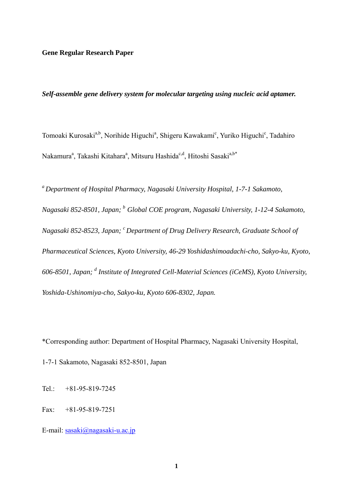# **Gene Regular Research Paper**

# *Self-assemble gene delivery system for molecular targeting using nucleic acid aptamer.*

Tomoaki Kurosaki<sup>a,b</sup>, Norihide Higuchi<sup>a</sup>, Shigeru Kawakami<sup>c</sup>, Yuriko Higuchi<sup>c</sup>, Tadahiro Nakamura<sup>a</sup>, Takashi Kitahara<sup>a</sup>, Mitsuru Hashida<sup>c,d</sup>, Hitoshi Sasaki<sup>a,b\*</sup>

*a Department of Hospital Pharmacy, Nagasaki University Hospital, 1-7-1 Sakamoto, Nagasaki 852-8501, Japan; <sup>b</sup> Global COE program, Nagasaki University, 1-12-4 Sakamoto, Nagasaki 852-8523, Japan; c Department of Drug Delivery Research, Graduate School of Pharmaceutical Sciences, Kyoto University, 46-29 Yoshidashimoadachi-cho, Sakyo-ku, Kyoto,*  606-8501, Japan; <sup>d</sup> Institute of Integrated Cell-Material Sciences (iCeMS), Kyoto University, *Yoshida-Ushinomiya-cho, Sakyo-ku, Kyoto 606-8302, Japan.* 

\*Corresponding author: Department of Hospital Pharmacy, Nagasaki University Hospital,

1-7-1 Sakamoto, Nagasaki 852-8501, Japan

Tel.: +81-95-819-7245

Fax: +81-95-819-7251

E-mail: sasaki@nagasaki-u.ac.jp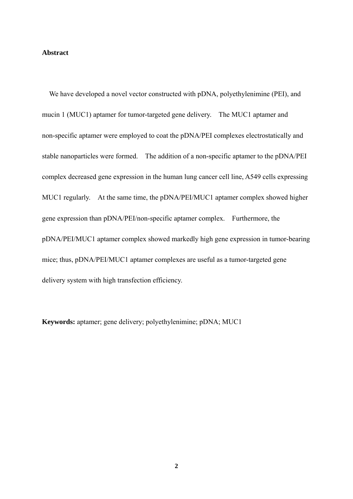# **Abstract**

We have developed a novel vector constructed with pDNA, polyethylenimine (PEI), and mucin 1 (MUC1) aptamer for tumor-targeted gene delivery. The MUC1 aptamer and non-specific aptamer were employed to coat the pDNA/PEI complexes electrostatically and stable nanoparticles were formed. The addition of a non-specific aptamer to the pDNA/PEI complex decreased gene expression in the human lung cancer cell line, A549 cells expressing MUC1 regularly. At the same time, the pDNA/PEI/MUC1 aptamer complex showed higher gene expression than pDNA/PEI/non-specific aptamer complex. Furthermore, the pDNA/PEI/MUC1 aptamer complex showed markedly high gene expression in tumor-bearing mice; thus, pDNA/PEI/MUC1 aptamer complexes are useful as a tumor-targeted gene delivery system with high transfection efficiency.

**Keywords:** aptamer; gene delivery; polyethylenimine; pDNA; MUC1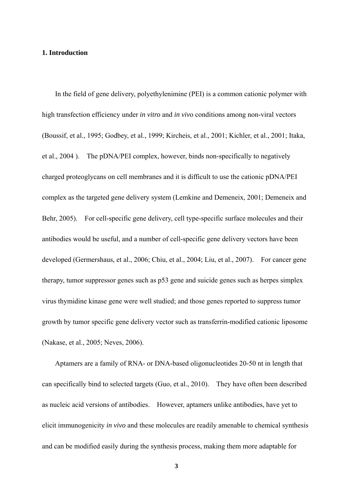# **1. Introduction**

 In the field of gene delivery, polyethylenimine (PEI) is a common cationic polymer with high transfection efficiency under *in vitro* and *in viv*o conditions among non-viral vectors (Boussif, et al., 1995; Godbey, et al., 1999; Kircheis, et al., 2001; Kichler, et al., 2001; Itaka, et al., 2004 ). The pDNA/PEI complex, however, binds non-specifically to negatively charged proteoglycans on cell membranes and it is difficult to use the cationic pDNA/PEI complex as the targeted gene delivery system (Lemkine and Demeneix, 2001; Demeneix and Behr, 2005). For cell-specific gene delivery, cell type-specific surface molecules and their antibodies would be useful, and a number of cell-specific gene delivery vectors have been developed (Germershaus, et al., 2006; Chiu, et al., 2004; Liu, et al., 2007). For cancer gene therapy, tumor suppressor genes such as p53 gene and suicide genes such as herpes simplex virus thymidine kinase gene were well studied; and those genes reported to suppress tumor growth by tumor specific gene delivery vector such as transferrin-modified cationic liposome (Nakase, et al., 2005; Neves, 2006).

Aptamers are a family of RNA- or DNA-based oligonucleotides 20-50 nt in length that can specifically bind to selected targets (Guo, et al., 2010). They have often been described as nucleic acid versions of antibodies. However, aptamers unlike antibodies, have yet to elicit immunogenicity *in vivo* and these molecules are readily amenable to chemical synthesis and can be modified easily during the synthesis process, making them more adaptable for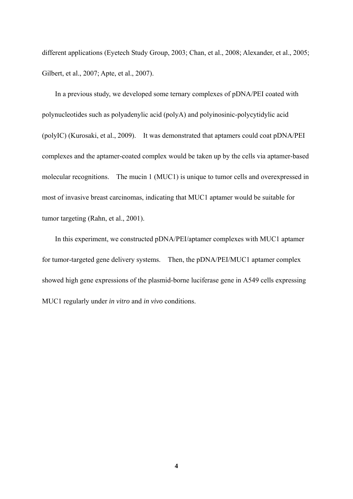different applications (Eyetech Study Group, 2003; Chan, et al., 2008; Alexander, et al., 2005; Gilbert, et al., 2007; Apte, et al., 2007).

In a previous study, we developed some ternary complexes of pDNA/PEI coated with polynucleotides such as polyadenylic acid (polyA) and polyinosinic-polycytidylic acid (polyIC) (Kurosaki, et al., 2009). It was demonstrated that aptamers could coat pDNA/PEI complexes and the aptamer-coated complex would be taken up by the cells via aptamer-based molecular recognitions. The mucin 1 (MUC1) is unique to tumor cells and overexpressed in most of invasive breast carcinomas, indicating that MUC1 aptamer would be suitable for tumor targeting (Rahn, et al., 2001).

In this experiment, we constructed pDNA/PEI/aptamer complexes with MUC1 aptamer for tumor-targeted gene delivery systems. Then, the pDNA/PEI/MUC1 aptamer complex showed high gene expressions of the plasmid-borne luciferase gene in A549 cells expressing MUC1 regularly under *in vitro* and *in vivo* conditions.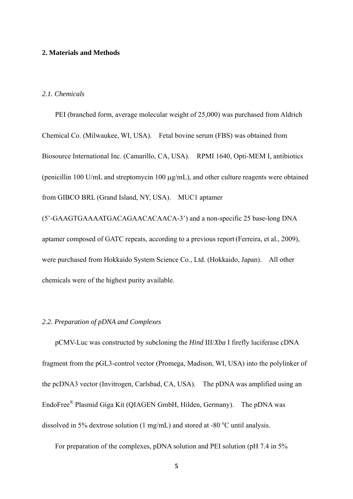## **2. Materials and Methods**

# *2.1. Chemicals*

 PEI (branched form, average molecular weight of 25,000) was purchased from Aldrich Chemical Co. (Milwaukee, WI, USA). Fetal bovine serum (FBS) was obtained from Biosource International Inc. (Camarillo, CA, USA). RPMI 1640, Opti-MEM I, antibiotics (penicillin 100 U/mL and streptomycin 100  $\mu$ g/mL), and other culture reagents were obtained from GIBCO BRL (Grand Island, NY, USA). MUC1 aptamer (5'-GAAGTGAAAATGACAGAACACAACA-3') and a non-specific 25 base-long DNA

aptamer composed of GATC repeats, according to a previous report(Ferreira, et al., 2009), were purchased from Hokkaido System Science Co., Ltd. (Hokkaido, Japan). All other chemicals were of the highest purity available.

# *2.2. Preparation of pDNA and Complexes*

pCMV-Luc was constructed by subcloning the *Hind* III/*Xba* I firefly luciferase cDNA fragment from the pGL3-control vector (Promega, Madison, WI, USA) into the polylinker of the pcDNA3 vector (Invitrogen, Carlsbad, CA, USA). The pDNA was amplified using an EndoFree® Plasmid Giga Kit (QIAGEN GmbH, Hilden, Germany). The pDNA was dissolved in 5% dextrose solution (1 mg/mL) and stored at -80  $^{\circ}$ C until analysis.

For preparation of the complexes, pDNA solution and PEI solution (pH 7.4 in 5%)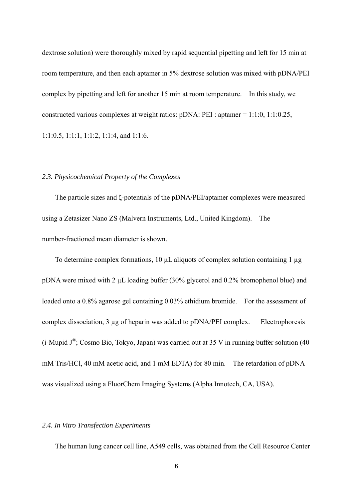dextrose solution) were thoroughly mixed by rapid sequential pipetting and left for 15 min at room temperature, and then each aptamer in 5% dextrose solution was mixed with pDNA/PEI complex by pipetting and left for another 15 min at room temperature. In this study, we constructed various complexes at weight ratios: pDNA: PEI : aptamer = 1:1:0, 1:1:0.25, 1:1:0.5, 1:1:1, 1:1:2, 1:1:4, and 1:1:6.

#### *2.3. Physicochemical Property of the Complexes*

The particle sizes and ζ-potentials of the pDNA/PEI/aptamer complexes were measured using a Zetasizer Nano ZS (Malvern Instruments, Ltd., United Kingdom). The number-fractioned mean diameter is shown.

To determine complex formations,  $10 \mu L$  aliquots of complex solution containing 1  $\mu$ g pDNA were mixed with 2 µL loading buffer (30% glycerol and 0.2% bromophenol blue) and loaded onto a 0.8% agarose gel containing 0.03% ethidium bromide. For the assessment of complex dissociation, 3 µg of heparin was added to pDNA/PEI complex. Electrophoresis (i-Mupid  $J^{\circledast}$ ; Cosmo Bio, Tokyo, Japan) was carried out at 35 V in running buffer solution (40 mM Tris/HCl, 40 mM acetic acid, and 1 mM EDTA) for 80 min. The retardation of pDNA was visualized using a FluorChem Imaging Systems (Alpha Innotech, CA, USA).

# *2.4. In Vitro Transfection Experiments*

The human lung cancer cell line, A549 cells, was obtained from the Cell Resource Center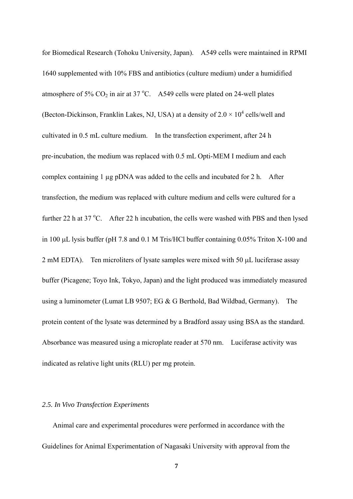for Biomedical Research (Tohoku University, Japan). A549 cells were maintained in RPMI 1640 supplemented with 10% FBS and antibiotics (culture medium) under a humidified atmosphere of 5%  $CO<sub>2</sub>$  in air at 37 °C. A 549 cells were plated on 24-well plates (Becton-Dickinson, Franklin Lakes, NJ, USA) at a density of  $2.0 \times 10^4$  cells/well and cultivated in 0.5 mL culture medium. In the transfection experiment, after 24 h pre-incubation, the medium was replaced with 0.5 mL Opti-MEM I medium and each complex containing 1 µg pDNA was added to the cells and incubated for 2 h. After transfection, the medium was replaced with culture medium and cells were cultured for a further 22 h at 37 °C. After 22 h incubation, the cells were washed with PBS and then lysed in 100  $\mu$ L lysis buffer (pH 7.8 and 0.1 M Tris/HCl buffer containing 0.05% Triton X-100 and  $2 \text{ mM EDTA}$ . Ten microliters of lysate samples were mixed with 50  $\mu$ L luciferase assay buffer (Picagene; Toyo Ink, Tokyo, Japan) and the light produced was immediately measured using a luminometer (Lumat LB 9507; EG & G Berthold, Bad Wildbad, Germany). The protein content of the lysate was determined by a Bradford assay using BSA as the standard. Absorbance was measured using a microplate reader at 570 nm. Luciferase activity was indicated as relative light units (RLU) per mg protein.

### *2.5. In Vivo Transfection Experiments*

 Animal care and experimental procedures were performed in accordance with the Guidelines for Animal Experimentation of Nagasaki University with approval from the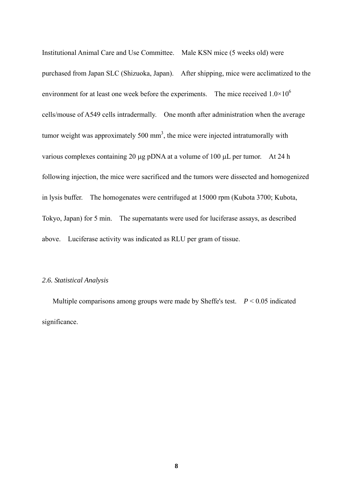Institutional Animal Care and Use Committee. Male KSN mice (5 weeks old) were purchased from Japan SLC (Shizuoka, Japan). After shipping, mice were acclimatized to the environment for at least one week before the experiments. The mice received  $1.0\times10^6$ cells/mouse of A549 cells intradermally. One month after administration when the average tumor weight was approximately 500 mm<sup>3</sup>, the mice were injected intratumorally with various complexes containing 20  $\mu$ g pDNA at a volume of 100  $\mu$ L per tumor. At 24 h following injection, the mice were sacrificed and the tumors were dissected and homogenized in lysis buffer. The homogenates were centrifuged at 15000 rpm (Kubota 3700; Kubota, Tokyo, Japan) for 5 min. The supernatants were used for luciferase assays, as described above. Luciferase activity was indicated as RLU per gram of tissue.

# *2.6. Statistical Analysis*

 Multiple comparisons among groups were made by Sheffe's test. *P* < 0.05 indicated significance.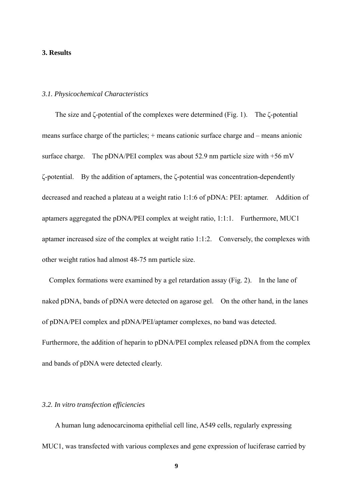# **3. Results**

# *3.1. Physicochemical Characteristics*

The size and ζ-potential of the complexes were determined (Fig. 1). The ζ-potential means surface charge of the particles; + means cationic surface charge and – means anionic surface charge. The pDNA/PEI complex was about 52.9 nm particle size with +56 mV ζ-potential. By the addition of aptamers, the ζ-potential was concentration-dependently decreased and reached a plateau at a weight ratio 1:1:6 of pDNA: PEI: aptamer. Addition of aptamers aggregated the pDNA/PEI complex at weight ratio, 1:1:1. Furthermore, MUC1 aptamer increased size of the complex at weight ratio 1:1:2. Conversely, the complexes with other weight ratios had almost 48-75 nm particle size.

Complex formations were examined by a gel retardation assay (Fig. 2). In the lane of naked pDNA, bands of pDNA were detected on agarose gel. On the other hand, in the lanes of pDNA/PEI complex and pDNA/PEI/aptamer complexes, no band was detected. Furthermore, the addition of heparin to pDNA/PEI complex released pDNA from the complex and bands of pDNA were detected clearly.

### *3.2. In vitro transfection efficiencies*

 A human lung adenocarcinoma epithelial cell line, A549 cells, regularly expressing MUC1, was transfected with various complexes and gene expression of luciferase carried by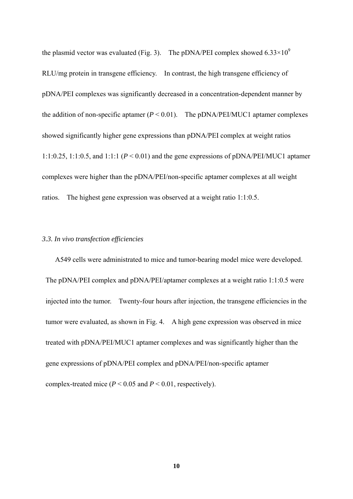the plasmid vector was evaluated (Fig. 3). The pDNA/PEI complex showed  $6.33\times10^{9}$ RLU/mg protein in transgene efficiency. In contrast, the high transgene efficiency of pDNA/PEI complexes was significantly decreased in a concentration-dependent manner by the addition of non-specific aptamer  $(P < 0.01)$ . The pDNA/PEI/MUC1 aptamer complexes showed significantly higher gene expressions than pDNA/PEI complex at weight ratios 1:1:0.25, 1:1:0.5, and 1:1:1 ( $P < 0.01$ ) and the gene expressions of pDNA/PEI/MUC1 aptamer complexes were higher than the pDNA/PEI/non-specific aptamer complexes at all weight ratios. The highest gene expression was observed at a weight ratio 1:1:0.5.

# *3.3. In vivo transfection efficiencies*

 A549 cells were administrated to mice and tumor-bearing model mice were developed. The pDNA/PEI complex and pDNA/PEI/aptamer complexes at a weight ratio 1:1:0.5 were injected into the tumor. Twenty-four hours after injection, the transgene efficiencies in the tumor were evaluated, as shown in Fig. 4. A high gene expression was observed in mice treated with pDNA/PEI/MUC1 aptamer complexes and was significantly higher than the gene expressions of pDNA/PEI complex and pDNA/PEI/non-specific aptamer complex-treated mice ( $P < 0.05$  and  $P < 0.01$ , respectively).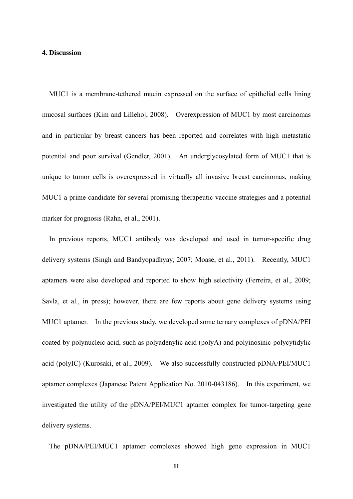# **4. Discussion**

MUC1 is a membrane-tethered mucin expressed on the surface of epithelial cells lining mucosal surfaces (Kim and Lillehoj, 2008). Overexpression of MUC1 by most carcinomas and in particular by breast cancers has been reported and correlates with high metastatic potential and poor survival (Gendler, 2001). An underglycosylated form of MUC1 that is unique to tumor cells is overexpressed in virtually all invasive breast carcinomas, making MUC1 a prime candidate for several promising therapeutic vaccine strategies and a potential marker for prognosis (Rahn, et al., 2001).

In previous reports, MUC1 antibody was developed and used in tumor-specific drug delivery systems (Singh and Bandyopadhyay, 2007; Moase, et al., 2011). Recently, MUC1 aptamers were also developed and reported to show high selectivity (Ferreira, et al., 2009; Savla, et al., in press); however, there are few reports about gene delivery systems using MUC1 aptamer. In the previous study, we developed some ternary complexes of pDNA/PEI coated by polynucleic acid, such as polyadenylic acid (polyA) and polyinosinic-polycytidylic acid (polyIC) (Kurosaki, et al., 2009). We also successfully constructed pDNA/PEI/MUC1 aptamer complexes (Japanese Patent Application No. 2010-043186). In this experiment, we investigated the utility of the pDNA/PEI/MUC1 aptamer complex for tumor-targeting gene delivery systems.

The pDNA/PEI/MUC1 aptamer complexes showed high gene expression in MUC1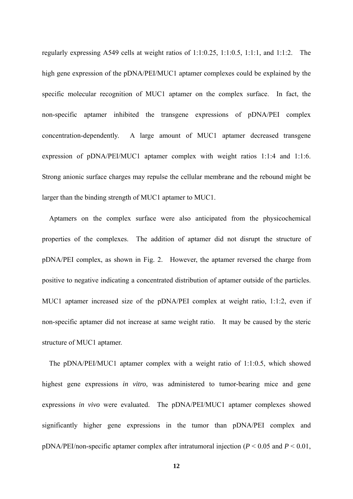regularly expressing A549 cells at weight ratios of 1:1:0.25, 1:1:0.5, 1:1:1, and 1:1:2. The high gene expression of the pDNA/PEI/MUC1 aptamer complexes could be explained by the specific molecular recognition of MUC1 aptamer on the complex surface. In fact, the non-specific aptamer inhibited the transgene expressions of pDNA/PEI complex concentration-dependently. A large amount of MUC1 aptamer decreased transgene expression of pDNA/PEI/MUC1 aptamer complex with weight ratios 1:1:4 and 1:1:6. Strong anionic surface charges may repulse the cellular membrane and the rebound might be larger than the binding strength of MUC1 aptamer to MUC1.

Aptamers on the complex surface were also anticipated from the physicochemical properties of the complexes. The addition of aptamer did not disrupt the structure of pDNA/PEI complex, as shown in Fig. 2. However, the aptamer reversed the charge from positive to negative indicating a concentrated distribution of aptamer outside of the particles. MUC1 aptamer increased size of the pDNA/PEI complex at weight ratio, 1:1:2, even if non-specific aptamer did not increase at same weight ratio. It may be caused by the steric structure of MUC1 aptamer.

The pDNA/PEI/MUC1 aptamer complex with a weight ratio of 1:1:0.5, which showed highest gene expressions *in vitro*, was administered to tumor-bearing mice and gene expressions *in vivo* were evaluated. The pDNA/PEI/MUC1 aptamer complexes showed significantly higher gene expressions in the tumor than pDNA/PEI complex and pDNA/PEI/non-specific aptamer complex after intratumoral injection (*P* < 0.05 and *P* < 0.01,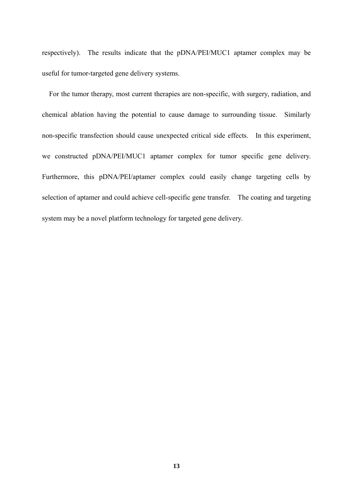respectively). The results indicate that the pDNA/PEI/MUC1 aptamer complex may be useful for tumor-targeted gene delivery systems.

For the tumor therapy, most current therapies are non-specific, with surgery, radiation, and chemical ablation having the potential to cause damage to surrounding tissue. Similarly non-specific transfection should cause unexpected critical side effects. In this experiment, we constructed pDNA/PEI/MUC1 aptamer complex for tumor specific gene delivery. Furthermore, this pDNA/PEI/aptamer complex could easily change targeting cells by selection of aptamer and could achieve cell-specific gene transfer. The coating and targeting system may be a novel platform technology for targeted gene delivery.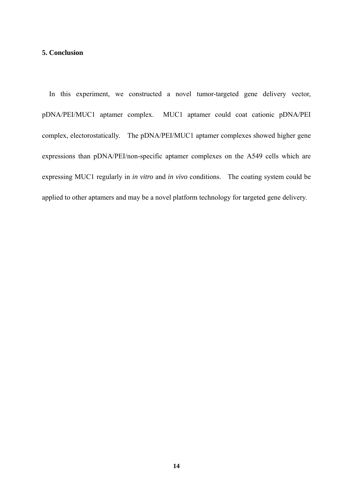# **5. Conclusion**

In this experiment, we constructed a novel tumor-targeted gene delivery vector, pDNA/PEI/MUC1 aptamer complex. MUC1 aptamer could coat cationic pDNA/PEI complex, electorostatically. The pDNA/PEI/MUC1 aptamer complexes showed higher gene expressions than pDNA/PEI/non-specific aptamer complexes on the A549 cells which are expressing MUC1 regularly in *in vitro* and *in vivo* conditions. The coating system could be applied to other aptamers and may be a novel platform technology for targeted gene delivery.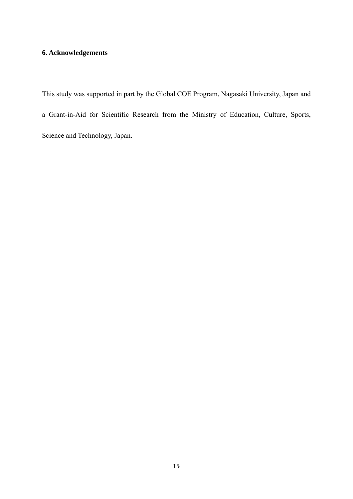# **6. Acknowledgements**

This study was supported in part by the Global COE Program, Nagasaki University, Japan and a Grant-in-Aid for Scientific Research from the Ministry of Education, Culture, Sports, Science and Technology, Japan.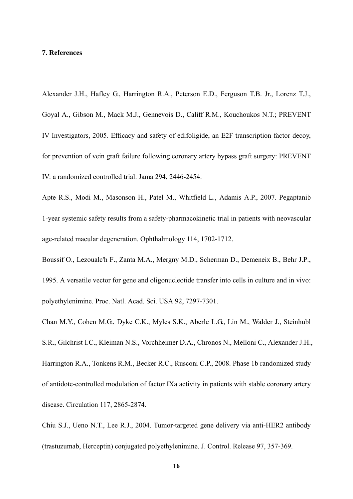#### **7. References**

Alexander J.H., Hafley G., Harrington R.A., Peterson E.D., Ferguson T.B. Jr., Lorenz T.J., Goyal A., Gibson M., Mack M.J., Gennevois D., Califf R.M., Kouchoukos N.T.; PREVENT IV Investigators, 2005. Efficacy and safety of edifoligide, an E2F transcription factor decoy, for prevention of vein graft failure following coronary artery bypass graft surgery: PREVENT IV: a randomized controlled trial. Jama 294, 2446-2454.

Apte R.S., Modi M., Masonson H., Patel M., Whitfield L., Adamis A.P., 2007. Pegaptanib 1-year systemic safety results from a safety-pharmacokinetic trial in patients with neovascular age-related macular degeneration. Ophthalmology 114, 1702-1712.

Boussif O., Lezoualc'h F., Zanta M.A., Mergny M.D., Scherman D., Demeneix B., Behr J.P., 1995. A versatile vector for gene and oligonucleotide transfer into cells in culture and in vivo: polyethylenimine. Proc. Natl. Acad. Sci. USA 92, 7297-7301.

Chan M.Y., Cohen M.G., Dyke C.K., Myles S.K., Aberle L.G., Lin M., Walder J., Steinhubl S.R., Gilchrist I.C., Kleiman N.S., Vorchheimer D.A., Chronos N., Melloni C., Alexander J.H., Harrington R.A., Tonkens R.M., Becker R.C., Rusconi C.P., 2008. Phase 1b randomized study of antidote-controlled modulation of factor IXa activity in patients with stable coronary artery disease. Circulation 117, 2865-2874.

Chiu S.J., Ueno N.T., Lee R.J., 2004. Tumor-targeted gene delivery via anti-HER2 antibody (trastuzumab, Herceptin) conjugated polyethylenimine. J. Control. Release 97, 357-369.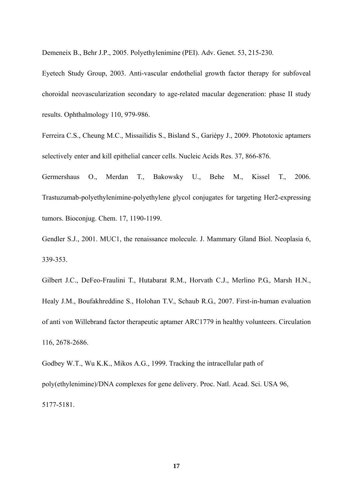Demeneix B., Behr J.P., 2005. Polyethylenimine (PEI). Adv. Genet. 53, 215-230.

Eyetech Study Group, 2003. Anti-vascular endothelial growth factor therapy for subfoveal choroidal neovascularization secondary to age-related macular degeneration: phase II study results. Ophthalmology 110, 979-986.

Ferreira C.S., Cheung M.C., Missailidis S., Bisland S., Gariépy J., 2009. Phototoxic aptamers selectively enter and kill epithelial cancer cells. Nucleic Acids Res. 37, 866-876.

Germershaus O., Merdan T., Bakowsky U., Behe M., Kissel T., 2006. Trastuzumab-polyethylenimine-polyethylene glycol conjugates for targeting Her2-expressing tumors. Bioconjug. Chem. 17, 1190-1199.

Gendler S.J., 2001. MUC1, the renaissance molecule. J. Mammary Gland Biol. Neoplasia 6, 339-353.

Gilbert J.C., DeFeo-Fraulini T., Hutabarat R.M., Horvath C.J., Merlino P.G., Marsh H.N., Healy J.M., Boufakhreddine S., Holohan T.V., Schaub R.G., 2007. First-in-human evaluation of anti von Willebrand factor therapeutic aptamer ARC1779 in healthy volunteers. Circulation 116, 2678-2686.

Godbey W.T., Wu K.K., Mikos A.G., 1999. Tracking the intracellular path of poly(ethylenimine)/DNA complexes for gene delivery. Proc. Natl. Acad. Sci. USA 96, 5177-5181.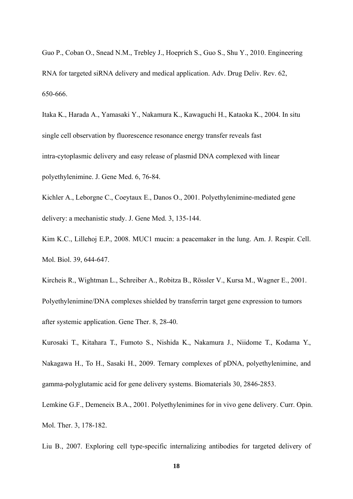Guo P., Coban O., Snead N.M., Trebley J., Hoeprich S., Guo S., Shu Y., 2010. Engineering RNA for targeted siRNA delivery and medical application. Adv. Drug Deliv. Rev. 62, 650-666.

Itaka K., Harada A., Yamasaki Y., Nakamura K., Kawaguchi H., Kataoka K., 2004. In situ single cell observation by fluorescence resonance energy transfer reveals fast intra-cytoplasmic delivery and easy release of plasmid DNA complexed with linear polyethylenimine. J. Gene Med. 6, 76-84.

Kichler A., Leborgne C., Coeytaux E., Danos O., 2001. Polyethylenimine-mediated gene delivery: a mechanistic study. J. Gene Med. 3, 135-144.

Kim K.C., Lillehoj E.P., 2008. MUC1 mucin: a peacemaker in the lung. Am. J. Respir. Cell. Mol. Biol. 39, 644-647.

Kircheis R., Wightman L., Schreiber A., Robitza B., Rössler V., Kursa M., Wagner E., 2001. Polyethylenimine/DNA complexes shielded by transferrin target gene expression to tumors after systemic application. Gene Ther. 8, 28-40.

Kurosaki T., Kitahara T., Fumoto S., Nishida K., Nakamura J., Niidome T., Kodama Y., Nakagawa H., To H., Sasaki H., 2009. Ternary complexes of pDNA, polyethylenimine, and gamma-polyglutamic acid for gene delivery systems. Biomaterials 30, 2846-2853.

Lemkine G.F., Demeneix B.A., 2001. Polyethylenimines for in vivo gene delivery. Curr. Opin. Mol. Ther. 3, 178-182.

Liu B., 2007. Exploring cell type-specific internalizing antibodies for targeted delivery of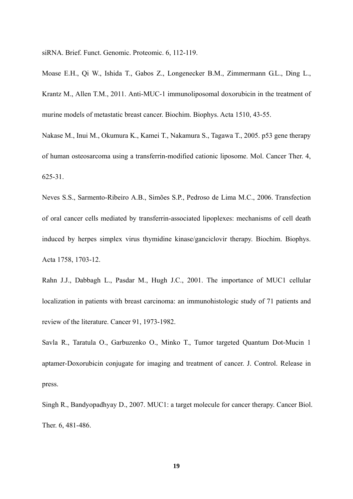siRNA. Brief. Funct. Genomic. Proteomic. 6, 112-119.

Moase E.H., Qi W., Ishida T., Gabos Z., Longenecker B.M., Zimmermann G.L., Ding L., Krantz M., Allen T.M., 2011. Anti-MUC-1 immunoliposomal doxorubicin in the treatment of murine models of metastatic breast cancer. Biochim. Biophys. Acta 1510, 43-55.

Nakase M., Inui M., Okumura K., Kamei T., Nakamura S., Tagawa T., 2005. p53 gene therapy of human osteosarcoma using a transferrin-modified cationic liposome. Mol. Cancer Ther. 4, 625-31.

Neves S.S., Sarmento-Ribeiro A.B., Simões S.P., Pedroso de Lima M.C., 2006. Transfection of oral cancer cells mediated by transferrin-associated lipoplexes: mechanisms of cell death induced by herpes simplex virus thymidine kinase/ganciclovir therapy. Biochim. Biophys. Acta 1758, 1703-12.

Rahn J.J., Dabbagh L., Pasdar M., Hugh J.C., 2001. The importance of MUC1 cellular localization in patients with breast carcinoma: an immunohistologic study of 71 patients and review of the literature. Cancer 91, 1973-1982.

Savla R., Taratula O., Garbuzenko O., Minko T., Tumor targeted Quantum Dot-Mucin 1 aptamer-Doxorubicin conjugate for imaging and treatment of cancer. J. Control. Release in press.

Singh R., Bandyopadhyay D., 2007. MUC1: a target molecule for cancer therapy. Cancer Biol. Ther. 6, 481-486.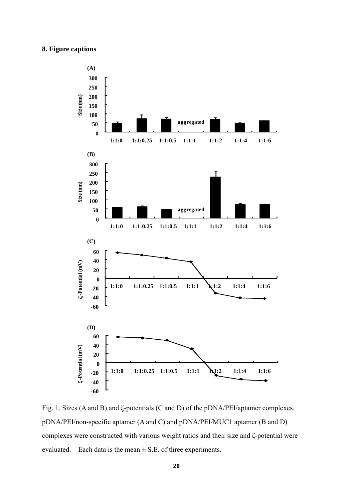# **8. Figure captions**



Fig. 1. Sizes (A and B) and ζ-potentials (C and D) of the pDNA/PEI/aptamer complexes. pDNA/PEI/non-specific aptamer (A and C) and pDNA/PEI/MUC1 aptamer (B and D) complexes were constructed with various weight ratios and their size and ζ-potential were evaluated. Each data is the mean  $\pm$  S.E. of three experiments.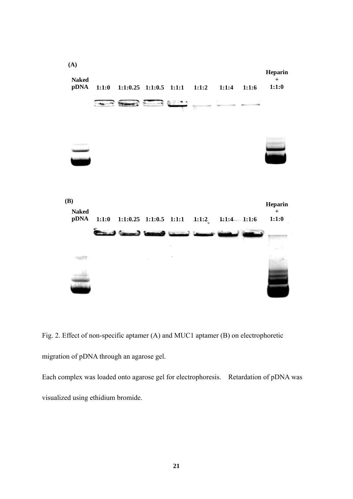

Fig. 2. Effect of non-specific aptamer (A) and MUC1 aptamer (B) on electrophoretic migration of pDNA through an agarose gel.

Each complex was loaded onto agarose gel for electrophoresis. Retardation of pDNA was visualized using ethidium bromide.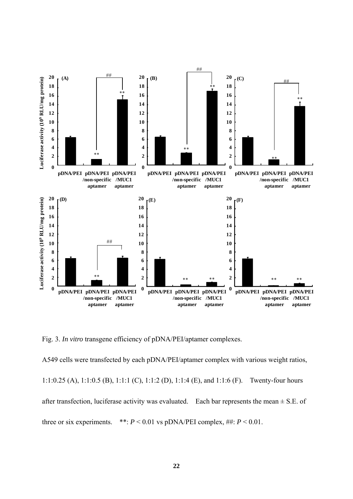

Fig. 3. *In vitro* transgene efficiency of pDNA/PEI/aptamer complexes.

A549 cells were transfected by each pDNA/PEI/aptamer complex with various weight ratios, 1:1:0.25 (A), 1:1:0.5 (B), 1:1:1 (C), 1:1:2 (D), 1:1:4 (E), and 1:1:6 (F). Twenty-four hours after transfection, luciferase activity was evaluated. Each bar represents the mean  $\pm$  S.E. of three or six experiments. \*\*:  $P < 0.01$  vs pDNA/PEI complex, ##:  $P < 0.01$ .